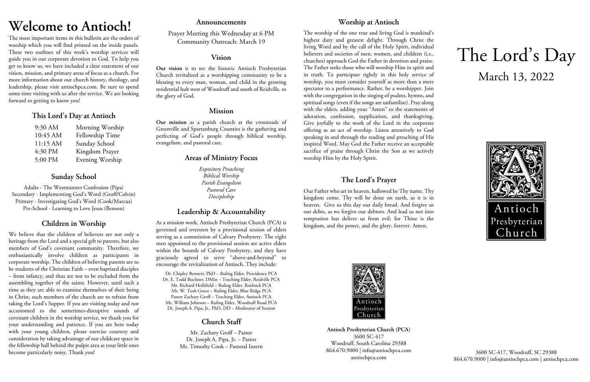# **Welcome to Antioch!**

The most important items in this bulletin are the orders of worship which you will find printed on the inside panels. These two outlines of this week's worship services will guide you in our corporate devotion to God. To help you get to know us, we have included a clear statement of our vision, mission, and primary areas of focus as a church. For more information about our church history, theology, and leadership, please visit antiochpca.com. Be sure to spend some time visiting with us after the service. We are looking forward to getting to know you!

## **This Lord's Day at Antioch**

| 9:30 AM  | Morning Worship |
|----------|-----------------|
| 10:45 AM | Fellowship Time |
| 11:15 AM | Sunday School   |
| 4:30 PM  | Kingdom Prayer  |
| 5:00 PM  | Evening Worship |

# **Sunday School**

Adults - The Westminster Confession (Pipa) Secondary - Implementing God's Word (Groff/Colvin) Primary - Investigating God's Word (Cook/Marcus) Pre-School - Learning to Love Jesus (Benson)

# **Children in Worship**

We believe that the children of believers are not only a heritage from the Lord and a special gift to parents, but also members of God's covenant community. Therefore, we enthusiastically involve children as participants in corporate worship. The children of believing parents are to be students of the Christian Faith – even baptized disciples – from infancy, and thus are not to be excluded from the assembling together of the saints. However, until such a time as they are able to examine themselves of their being in Christ, such members of the church are to refrain from taking the Lord's Supper. If you are visiting today and not accustomed to the sometimes-disruptive sounds of covenant children in the worship service, we thank you for your understanding and patience. If you are here today with your young children, please exercise courtesy and consideration by taking advantage of our childcare space in the fellowship hall behind the pulpit area as your little ones become particularly noisy. Thank you!

### **Announcements**

Prayer Meeting this Wednesday at 6 PM Community Outreach: March 19

### **Vision**

**Our vision** is to see the historic Antioch Presbyterian Church revitalized as a worshipping community to be a blessing to every man, woman, and child in the growing residential hub west of Woodruff and south of Reidville, to the glory of God.

# **Mission**

**Our mission** as a parish church at the crossroads of Greenville and Spartanburg Counties is the gathering and perfecting of God's people through biblical worship, evangelism, and pastoral care.

# **Areas of Ministry Focus**

*Expository Preaching Biblical Worship Parish Evangelism Pastoral Care Discipleship*

# **Leadership & Accountability**

As a mission work, Antioch Presbyterian Church (PCA) is governed and overseen by a provisional session of elders serving as a commission of Calvary Presbytery. The eight men appointed to the provisional session are active elders within the bounds of Calvary Presbytery, and they have graciously agreed to serve "above-and-beyond" to encourage the revitalization of Antioch. They include:

Dr. Chipley Bennett, PhD – Ruling Elder, Providence PCA Dr. E. Todd Buchner, DMin – Teaching Elder, Reidville PCA Mr. Richard Hollifield – Ruling Elder, Roebuck PCA Mr. W. Tosh Groce – Ruling Elder, Blue Ridge PCA Pastor Zachary Groff – Teaching Elder, Antioch PCA Mr. William Johnson – Ruling Elder, Woodruff Road PCA Dr. Joseph A. Pipa, Jr., PhD, DD – Moderator of Session

# **Church Staff**

Mr. Zachary Groff – Pastor Dr. Joseph A. Pipa, Jr. – Pastor Mr. Timothy Cook – Pastoral Intern

# **Worship at Antioch**

The worship of the one true and living God is mankind's highest duty and greatest delight. Through Christ the living Word and by the call of the Holy Spirit, individual believers and societies of men, women, and children (i.e., churches) approach God the Father in devotion and praise. The Father seeks those who will worship Him in spirit and in truth. To participate rightly in this holy service of worship, you must consider yourself as more than a mere spectator to a performance. Rather, be a worshipper. Join with the congregation in the singing of psalms, hymns, and spiritual songs (even if the songs are unfamiliar). Pray along with the elders, adding your "Amen" to the statements of adoration, confession, supplication, and thanksgiving. Give joyfully to the work of the Lord in the corporate offering as an act of worship. Listen attentively to God speaking in and through the reading and preaching of His inspired Word. May God the Father receive an acceptable sacrifice of praise through Christ the Son as we actively worship Him by the Holy Spirit.

# **The Lord's Prayer**

Our Father who art in heaven, hallowed be Thy name. Thy kingdom come. Thy will be done on earth, as it is in heaven. Give us this day our daily bread. And forgive us our debts, as we forgive our debtors. And lead us not into temptation but deliver us from evil; for Thine is the kingdom, and the power, and the glory, forever. Amen.



**Antioch Presbyterian Church (PCA)** 3600 SC-417 Woodruff, South Carolina 29388 864.670.9000 | info@antiochpca.com antiochpca.com

# The Lord's Day March 13, 2022



3600 SC-417, Woodruff, SC 29388 864.670.9000 | info@antiochpca.com | antiochpca.com